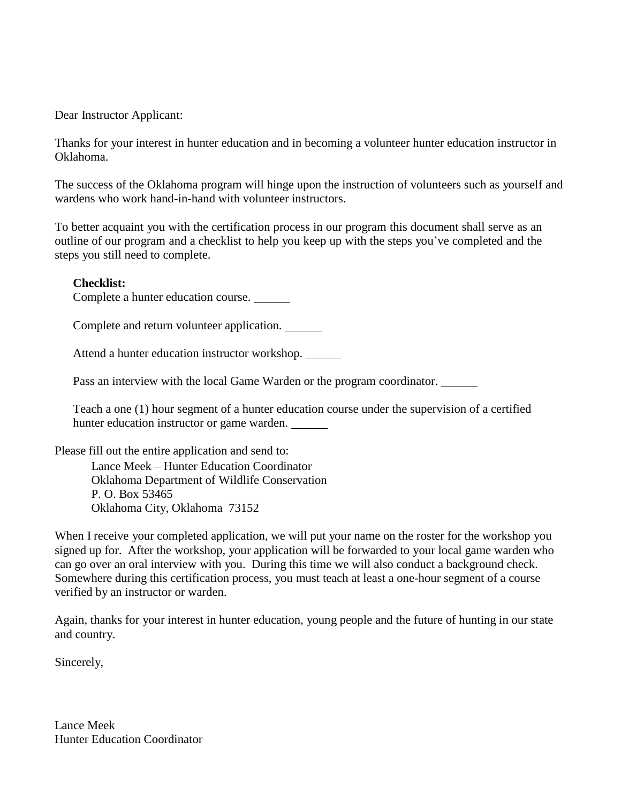Dear Instructor Applicant:

Thanks for your interest in hunter education and in becoming a volunteer hunter education instructor in Oklahoma.

The success of the Oklahoma program will hinge upon the instruction of volunteers such as yourself and wardens who work hand-in-hand with volunteer instructors.

To better acquaint you with the certification process in our program this document shall serve as an outline of our program and a checklist to help you keep up with the steps you've completed and the steps you still need to complete.

## **Checklist:**

Complete a hunter education course.

Complete and return volunteer application.

Attend a hunter education instructor workshop.

Pass an interview with the local Game Warden or the program coordinator.

Teach a one (1) hour segment of a hunter education course under the supervision of a certified hunter education instructor or game warden.

Please fill out the entire application and send to:

Lance Meek – Hunter Education Coordinator Oklahoma Department of Wildlife Conservation P. O. Box 53465 Oklahoma City, Oklahoma 73152

When I receive your completed application, we will put your name on the roster for the workshop you signed up for. After the workshop, your application will be forwarded to your local game warden who can go over an oral interview with you. During this time we will also conduct a background check. Somewhere during this certification process, you must teach at least a one-hour segment of a course verified by an instructor or warden.

Again, thanks for your interest in hunter education, young people and the future of hunting in our state and country.

Sincerely,

Lance Meek Hunter Education Coordinator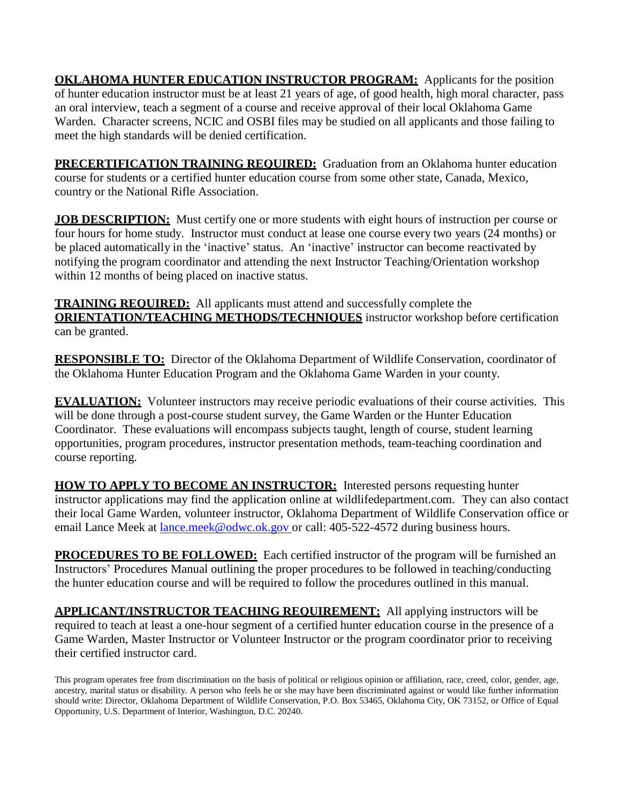**OKLAHOMA HUNTER EDUCATION INSTRUCTOR PROGRAM:** Applicants for the position of hunter education instructor must be at least 21 years of age, of good health, high moral character, pass an oral interview, teach a segment of a course and receive approval of their local Oklahoma Game Warden. Character screens, NCIC and OSBI files may be studied on all applicants and those failing to meet the high standards will be denied certification.

**PRECERTIFICATION TRAINING REQUIRED:** Graduation from an Oklahoma hunter education course for students or a certified hunter education course from some other state, Canada, Mexico, country or the National Rifle Association.

**JOB DESCRIPTION:** Must certify one or more students with eight hours of instruction per course or four hours for home study. Instructor must conduct at lease one course every two years (24 months) or be placed automatically in the 'inactive' status. An 'inactive' instructor can become reactivated by notifying the program coordinator and attending the next Instructor Teaching/Orientation workshop within 12 months of being placed on inactive status.

**TRAINING REQUIRED:** All applicants must attend and successfully complete the **ORIENTATION/TEACHING METHODS/TECHNIQUES** instructor workshop before certification can be granted.

**RESPONSIBLE TO:** Director of the Oklahoma Department of Wildlife Conservation, coordinator of the Oklahoma Hunter Education Program and the Oklahoma Game Warden in your county.

**EVALUATION:** Volunteer instructors may receive periodic evaluations of their course activities. This will be done through a post-course student survey, the Game Warden or the Hunter Education Coordinator. These evaluations will encompass subjects taught, length of course, student learning opportunities, program procedures, instructor presentation methods, team-teaching coordination and course reporting.

**HOW TO APPLY TO BECOME AN INSTRUCTOR:** Interested persons requesting hunter instructor applications may find the application online at wildlifedepartment.com. They can also contact their local Game Warden, volunteer instructor, Oklahoma Department of Wildlife Conservation office or email Lance Meek at [lance.meek@odwc.ok.gov](mailto:lance.meek@odwc.ok.gov) or call: 405-522-4572 during business hours.

**PROCEDURES TO BE FOLLOWED:** Each certified instructor of the program will be furnished an Instructors' Procedures Manual outlining the proper procedures to be followed in teaching/conducting the hunter education course and will be required to follow the procedures outlined in this manual.

**APPLICANT/INSTRUCTOR TEACHING REQUIREMENT:** All applying instructors will be required to teach at least a one-hour segment of a certified hunter education course in the presence of a Game Warden, Master Instructor or Volunteer Instructor or the program coordinator prior to receiving their certified instructor card.

This program operates free from discrimination on the basis of political or religious opinion or affiliation, race, creed, color, gender, age, ancestry, marital status or disability. A person who feels he or she may have been discriminated against or would like further information should write: Director, Oklahoma Department of Wildlife Conservation, P.O. Box 53465, Oklahoma City, OK 73152, or Office of Equal Opportunity, U.S. Department of Interior, Washington, D.C. 20240.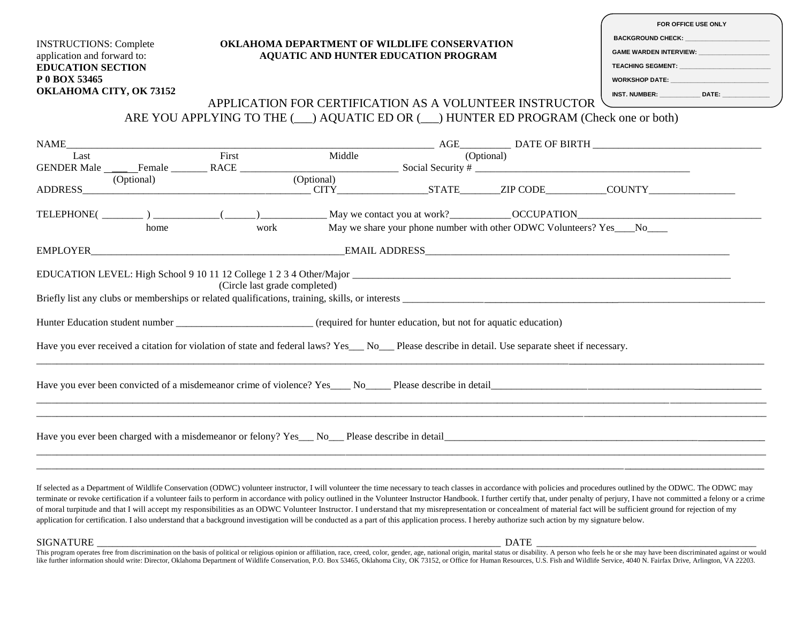|                                                              | <b>OKLAHOMA DEPARTMENT OF WILDLIFE CONSERVATION</b>                                             |                                                                                                                                                                                                                                    |  | FOR OFFICE USE ONLY<br>BACKGROUND CHECK: A CONTROLL CONTROL CONTROL CONTROLL CONTROLL CONTROLL CONTROLL CONTROLL CONTROLL CONTROLL CO<br><b>GAME WARDEN INTERVIEW: CAME WARDEN</b> |                                             |                                                 |
|--------------------------------------------------------------|-------------------------------------------------------------------------------------------------|------------------------------------------------------------------------------------------------------------------------------------------------------------------------------------------------------------------------------------|--|------------------------------------------------------------------------------------------------------------------------------------------------------------------------------------|---------------------------------------------|-------------------------------------------------|
|                                                              |                                                                                                 |                                                                                                                                                                                                                                    |  |                                                                                                                                                                                    |                                             |                                                 |
| <b>INSTRUCTIONS: Complete</b><br>application and forward to: | AQUATIC AND HUNTER EDUCATION PROGRAM                                                            |                                                                                                                                                                                                                                    |  |                                                                                                                                                                                    |                                             |                                                 |
| <b>EDUCATION SECTION</b>                                     |                                                                                                 |                                                                                                                                                                                                                                    |  |                                                                                                                                                                                    | TEACHING SEGMENT: <b>With the CONDITION</b> |                                                 |
| P 0 BOX 53465                                                |                                                                                                 |                                                                                                                                                                                                                                    |  |                                                                                                                                                                                    |                                             | WORKSHOP DATE: ________________________________ |
| OKLAHOMA CITY, OK 73152                                      |                                                                                                 |                                                                                                                                                                                                                                    |  |                                                                                                                                                                                    |                                             | INST. NUMBER: ______________ DATE: ___          |
|                                                              |                                                                                                 |                                                                                                                                                                                                                                    |  | APPLICATION FOR CERTIFICATION AS A VOLUNTEER INSTRUCTOR                                                                                                                            |                                             | <u> 1990 - Johann Barbara, martin a</u>         |
|                                                              | ARE YOU APPLYING TO THE $(\_\_\)$ AQUATIC ED OR $(\_\_\)$ HUNTER ED PROGRAM (Check one or both) |                                                                                                                                                                                                                                    |  |                                                                                                                                                                                    |                                             |                                                 |
|                                                              |                                                                                                 |                                                                                                                                                                                                                                    |  |                                                                                                                                                                                    |                                             |                                                 |
| NAME                                                         |                                                                                                 |                                                                                                                                                                                                                                    |  |                                                                                                                                                                                    |                                             |                                                 |
| Last                                                         | First                                                                                           |                                                                                                                                                                                                                                    |  |                                                                                                                                                                                    |                                             |                                                 |
|                                                              |                                                                                                 |                                                                                                                                                                                                                                    |  |                                                                                                                                                                                    |                                             |                                                 |
| (Optional)<br>ADDRESS ADDRESS                                |                                                                                                 | (Optional)                                                                                                                                                                                                                         |  | CITY STATE ZIP CODE COUNTY                                                                                                                                                         |                                             |                                                 |
|                                                              |                                                                                                 |                                                                                                                                                                                                                                    |  |                                                                                                                                                                                    |                                             |                                                 |
| home                                                         | May we share your phone number with other ODWC Volunteers? Yes___No___<br>work                  |                                                                                                                                                                                                                                    |  |                                                                                                                                                                                    |                                             |                                                 |
|                                                              |                                                                                                 |                                                                                                                                                                                                                                    |  |                                                                                                                                                                                    |                                             |                                                 |
|                                                              |                                                                                                 |                                                                                                                                                                                                                                    |  |                                                                                                                                                                                    |                                             |                                                 |
|                                                              | (Circle last grade completed)                                                                   |                                                                                                                                                                                                                                    |  |                                                                                                                                                                                    |                                             |                                                 |
|                                                              |                                                                                                 |                                                                                                                                                                                                                                    |  |                                                                                                                                                                                    |                                             |                                                 |
| $\mathbf{v}$ , and it is a set of the set of $\mathbf{v}$    |                                                                                                 | $\mathcal{L}$ , and a set of the set of the set of the set of the set of the set of the set of the set of the set of the set of the set of the set of the set of the set of the set of the set of the set of the set of the set of |  |                                                                                                                                                                                    |                                             |                                                 |

Hunter Education student number **and intervalled** (required for hunter education, but not for aquatic education)

Have you ever received a citation for violation of state and federal laws? Yes\_\_\_ No\_\_\_ Please describe in detail. Use separate sheet if necessary.

Have you ever been convicted of a misdemeanor crime of violence? Yes\_\_\_\_ No\_\_\_\_\_ Please describe in detail\_\_\_\_\_\_\_\_\_\_\_\_\_\_\_\_\_\_\_\_\_\_\_\_\_\_\_\_\_\_\_\_\_\_\_\_\_\_\_\_\_\_\_\_\_\_\_\_\_\_\_\_

Have you ever been charged with a misdemeanor or felony? Yes\_\_\_ No\_\_\_ Please describe in detail\_\_\_\_\_\_\_\_\_\_\_\_\_\_\_\_\_\_\_\_\_\_\_\_\_\_\_\_\_\_\_\_\_\_\_\_\_\_\_\_\_\_\_\_\_\_\_\_\_\_\_\_\_\_\_\_\_\_\_\_\_\_

If selected as a Department of Wildlife Conservation (ODWC) volunteer instructor, I will volunteer the time necessary to teach classes in accordance with policies and procedures outlined by the ODWC. The ODWC may terminate or revoke certification if a volunteer fails to perform in accordance with policy outlined in the Volunteer Instructor Handbook. I further certify that, under penalty of perjury, I have not committed a felony or of moral turpitude and that I will accept my responsibilities as an ODWC Volunteer Instructor. I understand that my misrepresentation or concealment of material fact will be sufficient ground for rejection of my application for certification. I also understand that a background investigation will be conducted as a part of this application process. I hereby authorize such action by my signature below.

\_\_\_\_\_\_\_\_\_\_\_\_\_\_\_\_\_\_\_\_\_\_\_\_\_\_\_\_\_\_\_\_\_\_\_\_\_\_\_\_\_\_\_\_\_\_\_\_\_\_\_\_\_\_\_\_\_\_\_\_\_\_\_\_\_\_\_\_\_\_\_\_\_\_\_\_\_\_\_\_\_\_\_\_\_\_\_\_\_\_\_\_\_\_\_\_\_\_\_\_\_\_\_\_\_\_\_\_\_\_\_\_\_\_\_\_\_\_\_\_\_\_\_\_\_\_\_\_\_\_\_\_\_\_\_\_\_\_\_\_

\_\_\_\_\_\_\_\_\_\_\_\_\_\_\_\_\_\_\_\_\_\_\_\_\_\_\_\_\_\_\_\_\_\_\_\_\_\_\_\_\_\_\_\_\_\_\_\_\_\_\_\_\_\_\_\_\_\_\_\_\_\_\_\_\_\_\_\_\_\_\_\_\_\_\_\_\_\_\_\_\_\_\_\_\_\_\_\_\_\_\_\_\_\_\_\_\_\_\_\_\_\_\_\_\_\_\_\_\_\_\_\_\_\_\_\_\_\_\_\_\_\_\_\_\_\_\_\_\_\_\_\_\_\_\_\_\_\_\_\_\_\_\_\_ \_\_\_\_\_\_\_\_\_\_\_\_\_\_\_\_\_\_\_\_\_\_\_\_\_\_\_\_\_\_\_\_\_\_\_\_\_\_\_\_\_\_\_\_\_\_\_\_\_\_\_\_\_\_\_\_\_\_\_\_\_\_\_\_\_\_\_\_\_\_\_\_\_\_\_\_\_\_\_\_\_\_\_\_\_\_\_\_\_\_\_\_\_\_\_\_\_\_\_\_\_\_\_\_\_\_\_\_\_\_\_\_\_\_\_\_\_\_\_\_\_\_\_\_\_\_\_\_\_\_\_\_\_\_\_\_\_\_\_\_\_\_\_\_

\_\_\_\_\_\_\_\_\_\_\_\_\_\_\_\_\_\_\_\_\_\_\_\_\_\_\_\_\_\_\_\_\_\_\_\_\_\_\_\_\_\_\_\_\_\_\_\_\_\_\_\_\_\_\_\_\_\_\_\_\_\_\_\_\_\_\_\_\_\_\_\_\_\_\_\_\_\_\_\_\_\_\_\_\_\_\_\_\_\_\_\_\_\_\_\_\_\_\_\_\_\_\_\_\_\_\_\_\_\_\_\_\_\_\_\_\_\_\_\_\_\_\_\_\_\_\_\_\_\_\_\_\_\_\_\_\_\_\_\_\_\_\_\_ \_\_\_\_\_\_\_\_\_\_\_\_\_\_\_\_\_\_\_\_\_\_\_\_\_\_\_\_\_\_\_\_\_\_\_\_\_\_\_\_\_\_\_\_\_\_\_\_\_\_\_\_\_\_\_\_\_\_\_\_\_\_\_\_\_\_\_\_\_\_\_\_\_\_\_\_\_\_\_\_\_\_\_\_\_\_\_\_\_\_\_\_\_\_\_\_\_\_\_\_\_\_\_\_\_\_\_\_\_\_\_\_\_\_\_\_\_\_\_\_\_\_\_\_\_\_\_\_\_\_\_\_\_\_\_\_\_\_\_\_\_

SIGNATURE \_\_\_\_\_\_\_\_\_\_\_\_\_\_\_\_\_\_\_\_\_\_\_\_\_\_\_\_\_\_\_\_\_\_\_\_\_\_\_\_\_\_\_\_\_\_\_\_\_\_\_\_\_\_\_\_\_\_\_\_\_\_\_\_\_\_\_\_\_\_\_\_\_\_\_\_\_\_\_ DATE \_\_\_\_\_\_\_\_\_\_\_\_\_\_\_\_\_\_\_\_\_\_\_\_\_\_\_\_\_\_\_\_\_\_\_\_\_\_\_\_\_\_\_

This program operates free from discrimination on the basis of political or religious opinion or affiliation, race, creed, color, gender, age, national origin, marital status or disability. A person who feels he or she may like further information should write: Director, Oklahoma Department of Wildlife Conservation, P.O. Box 53465, Oklahoma City, OK 73152, or Office for Human Resources, U.S. Fish and Wildlife Service, 4040 N. Fairfax Drive,